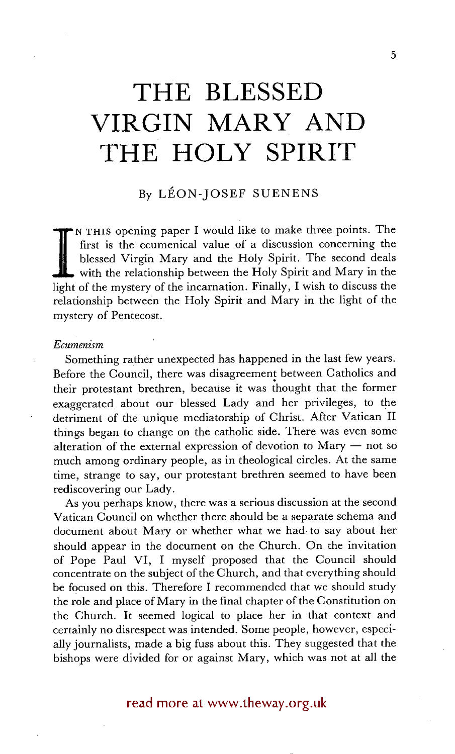# **THE BLESSED VIRGIN MARY AND THE HOLY SPIRIT**

# By LÉON-JOSEF SUENENS

blessed Virgin Mary and the Holy Spirit. The second deals with the relationship between the Holy Spirit and Mary in the light of the mystery of the incarnation. Finally, I wish to discuss the N THIS opening paper I would like to make three points. The first is the ecumenical value of a discussion concerning the blessed Virgin Mary and the Holy Spirit. The second deals with the relationship between the Holy Spirit and Mary in the relationship between the Holy Spirit and Mary in the light of the mystery of Pentecost.

## Ecumenism

Something rather unexpected has happened in the last few years. Before the Council, there was disagreement between Catholics and their protestant brethren, because it was thought that the former exaggerated about our blessed Lady and her privileges, to the detriment of the unique mediatorship of Christ. After Vatican II things began to change on the catholic side. There was even some alteration of the external expression of devotion to Mary  $-$  not so much among ordinary people, as in theological circles. At the same time, strange to say, our protestant brethren seemed to have been rediscovering our Lady.

As you perhaps know, there was a serious discussion at the second Vatican Council on whether there should be a separate schema and document about Mary or whether what we had. to say about her should appear in the document on the Church. On the invitation of Pope Paul VI, I myself proposed that the Council should concentrate on the subject of the Church, and that everything should be focused on this. Therefore I recommended that we should study the role and place of Mary in the final chapter of the Constitution on the Church. It seemed logical to place her in that context and certainly no disrespect was intended. Some people, however, especially journalists, made a big fuss about this. They suggested that the bishops were divided for or against Mary, which was not at all the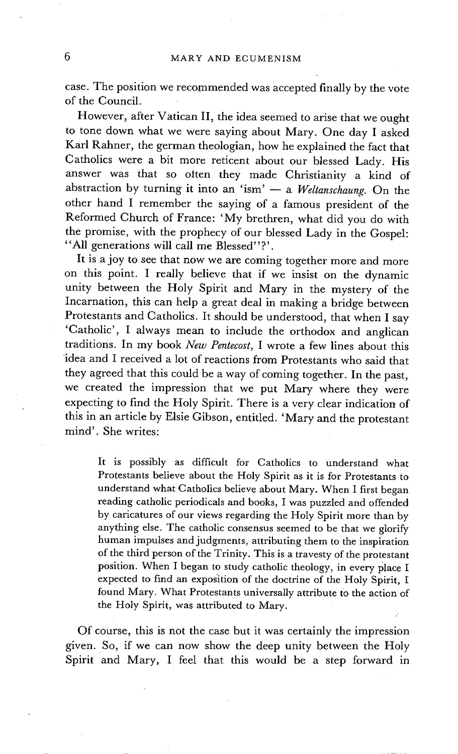case. The position we recommended was accepted finally by the vote of the Council.

However, after Vatican II, the idea seemed to arise that we ought to tone down what we were saying about Mary. One day I asked Karl Rahner, the german theologian, how he explained the fact that Catholics were a bit more reticent about our blessed Lady. His answer was that so olten they made Christianity a kind of abstraction by turning it into an 'ism'  $-$  a *Weltanschaung*. On the other hand I remember the saying of a famous president of the Reformed Church of France: 'My brethren, what did you do with the promise, with the prophecy of our blessed Lady in the Gospel: "All generations will call me Blessed"?'.

It is a joy to see that now we are coming together more and more on this point. I really believe that if we insist on the dynamic unity between the Holy Spirit and Mary in the mystery of the Incarnation, this can help a great deal in making a bridge between Protestants and Catholics. It should be understood, that when I say 'Catholic', I always mean to include the orthodox and anglican traditions. In my book *New Pentecost,* I wrote a few lines about this idea and I received a lot of reactions from Protestants who said that they agreed that this could be a way of coming together. In the past, we created the impression that we put Mary where they were expecting to find the Holy spirit. There is a very clear indication of this in an article by Elsie Gibson, entitled. 'Mary and the protestant mind'. She writes:

It is possibly as difficult for Catholics to understand what Protestants believe about the Holy Spirit as it is for Protestants to understand what Catholics believe about Mary. When I first began reading catholic periodicals and books, I was puzzled and offended by caricatures of our views regarding the Holy Spirit more than by anything else. The catholic consensus seemed to be that we glorify human impulses and judgments, attributing them to the inspiration of the third person of the Trinity. This is a travesty of the protestant position. When I began to study catholic theology, in every place I expected to find an exposition of the doctrine of the Holy Spirit, I found Mary. What Protestants universally attribute to the action of the Holy Spirit, was attributed to Mary.

Of course, this is not the case but it was certainly the impression given. So, if we can now show the deep unity between the Holy Spirit and Mary, I feel that this would be a step forward in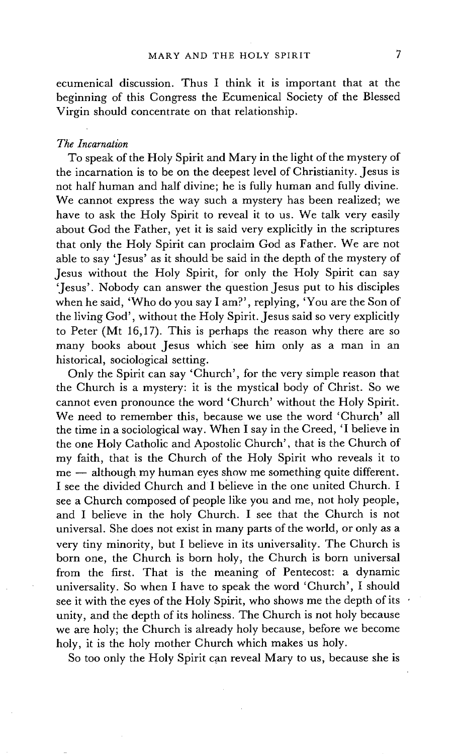ecumenical discussion. Thus I think it is important that at the beginning of this Congress the Ecumenical Society of the Blessed Virgin should concentrate on that relationship.

### *The Incarnation*

To speak of the Holy Spirit and Mary in the light of the mystery of the incarnation is to be on the deepest level of Christianity. Jesus is not half human and half divine; he is fully human and fully divine. We cannot express the way such a mystery has been realized; we have to ask the Holy Spirit to reveal it to us. We talk very easily about God the Father, yet it is said very explicitly in the scriptures that only the Holy Spirit can proclaim God as Father. We are not able to say 'Jesus' as it should be said in the depth of the mystery of Jesus without the Holy Spirit, for only the Holy Spirit can say 'Jesus'. Nobody can answer the question Jesus put to his disciples when he said, 'Who do you say I am?', replying, 'You are the Son of the living God', without the Holy Spirit. Jesus said so very explicitly to Peter (Mt 16,17). This is perhaps the reason why there are so many books about Jesus which see him only as a man in an historical, sociological setting.

Only the Spirit can say 'Church', for the very simple reason that the Church is a mystery: it is the mystical body of Christ. So we cannot even pronounce the word 'Church' without the Holy Spirit. We need to remember this, because we use the word 'Church' all the time in a sociological way. When I say in the Creed, 'I believe in the one Holy Catholic and Apostolic Church', that is the Church of my faith, that is the Church of the Holy Spirit who reveals it to me -- although my human eyes show me something quite different. I see the divided Church and I believe in the one united Church. I see a Church composed of people like you and me, not holy people, and I believe in the holy Church. I see that the Church is not universal. She does not exist in many parts of the world, or only as a very tiny minority, but I believe in its universality. The Church is born one, the Church is born holy, the Church is born universal from the first. That is the meaning of Pentecost: a dynamic universality. So when I have to speak the word 'Church', I should see it with the eyes of the Holy Spirit, who shows me the depth of its • unity, and the depth of its holiness. The Church is not holy because we are holy; the Church is already holy because, before we become holy, it is the holy mother Church which makes us holy.

So too only the Holy Spirit can reveal Mary to us, because she is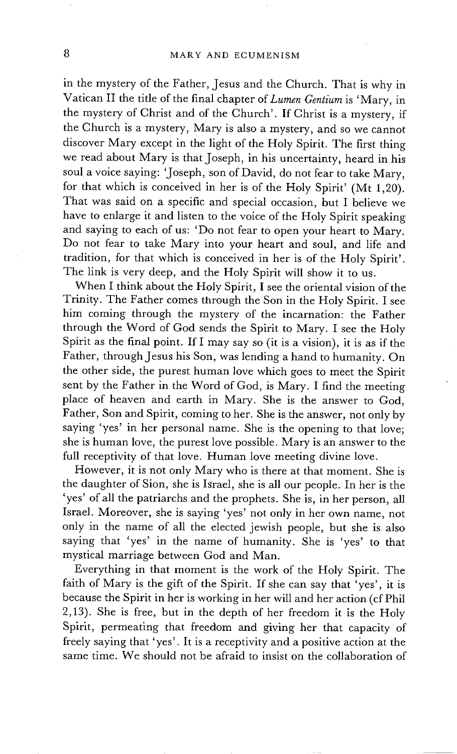in the mystery of the Father, Jesus and the Church. That is why in Vatican II the title of the final chapter of *Lumen Gentium* is 'Mary, in the mystery of Christ and of the Church'. If Christ is a mystery, if the Church is a mystery, Mary is also a mystery, and so we cannot discover Mary except in the light of the Holy Spirit. The first thing we read about Mary is that Joseph, in his uncertainty, heard in his soul a voice saying: 'Joseph, son of David, do not fear to take Mary, for that which is conceived in her is of the Holy Spirit' (Mt 1,20). That was said on a specific and special occasion, but I believe we have to enlarge it and listen to the voice of the Holy Spirit speaking and saying to each of us: 'Do not fear to open your heart to Mary. Do not fear to take Mary into your heart and soul, and life and tradition, for that which is conceived in her is of the Holy Spirit'. The link is very deep, and the Holy Spirit will show it to us.

When I think about the Holy Spirit, I see the oriental vision of the Trinity. The Father comes through the Son in the Holy Spirit. I see him coming through the mystery of the incarnation: the Father through the Word of God sends the Spirit to Mary. I see the Holy Spirit as the final point. If I may say so (it is a vision), it is as if the Father, through Jesus his Son, was lending a hand to humanity. On the other side, the purest human love which goes to meet the Spirit sent by the Father in the Word of God, is Mary. I find the meeting place of heaven and earth in Mary. She is the answer to God, Father, Son and Spirit, coming to her. She is the answer, not only by saying 'yes' in her personal name. She is the opening to that love; she is human love, the purest love possible. Mary is an answer to the full receptivity of that love. Human love meeting divine love.

However, it is not only Mary who is there at that moment. She is the daughter of Sion, she is Israel, she is all our people. In her is the 'yes' of all the patriarchs and the prophets. She is, in her person, all Israel. Moreover, she is saying 'yes' not only in her own name, not only in the name of all the elected jewish people, but she is also saying that 'yes' in the name of humanity. She is 'yes' to that mystical marriage between God and Man.

Everything in that moment is the work of the Holy Spirit. The faith of Mary is the gift of the Spirit. If she can say that "yes', it is because the Spirit in her is working in her will and her action (cf Phil 2,13). She is free, but in the depth of her freedom it is the Holy Spirit, permeating that freedom and giving her that capacity of freely saying that 'yes'. It is a receptivity and a positive action at the same time. We should not be afraid to insist on the collaboration of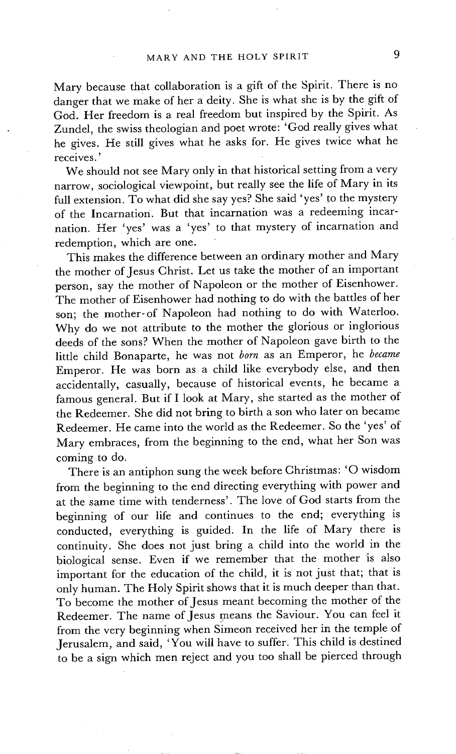Mary because that collaboration is a gift of the Spirit. There is no danger that we make of her a deity. She is what she is by the gift of God. Her freedom is a real freedom but inspired by the Spirit. As Zundel, the swiss theologian and poet wrote: 'God really gives what he gives. He still gives what he asks for. He gives twice what he receives. '

We should not see Mary only in that historical setting from a very narrow, sociological viewpoint, but really see the life of Mary in its full extension. To what did she say yes? She said 'yes' to the mystery of the Incarnation. But that incarnation was a redeeming incarnation. Her 'yes' was a 'yes' to that mystery of incarnation and redemption, which are one.

This makes the difference between an ordinary mother and Mary the mother of Jesus Christ. Let us take the mother of an important person, say the mother of Napoleon or the mother of Eisenhower. The mother of Eisenhower had nothing to do with the battles of her son; the mother-of Napoleon had nothing to do with Waterloo. Why do we not attribute to the mother the glorious or inglorious deeds of the sons? When the mother of Napoleon gave birth to the little child Bonaparte, he was not *born* as an Emperor, he *became*  Emperor. He was born as a child like everybody else, and then accidentally, casually, because of historical events, he became a famous general. But if I look at Mary, she started as the mother of the Redeemer. She did not bring to birth a son who later on became Redeemer. He came into the world as the Redeemer. So the 'yes' of Mary embraces, from the beginning to the end, what her Son was coming to do.

There is an antiphon sung the week before Christmas: 'O wisdom from the beginning to the end directing everything with power and at the same time with tenderness'. The love of God starts from the beginning of our life and continues to the end; everything is conducted, everything is guided. In the life of Mary there is continuity. She does not just bring a child into the world in the biological sense. Even if we remember that the mother is also important for the education of the child, it is not just that; that is only human. The Holy Spirit shows that it is much deeper than that. To become the mother of Jesus meant becoming the mother of the Redeemer. The name of Jesus means the Saviour. You can feel it from the very beginning when Simeon received her in the temple of Jerusalem, and said, 'You will have to suffer. This child is destined to be a sign which men reject and you too shall be pierced through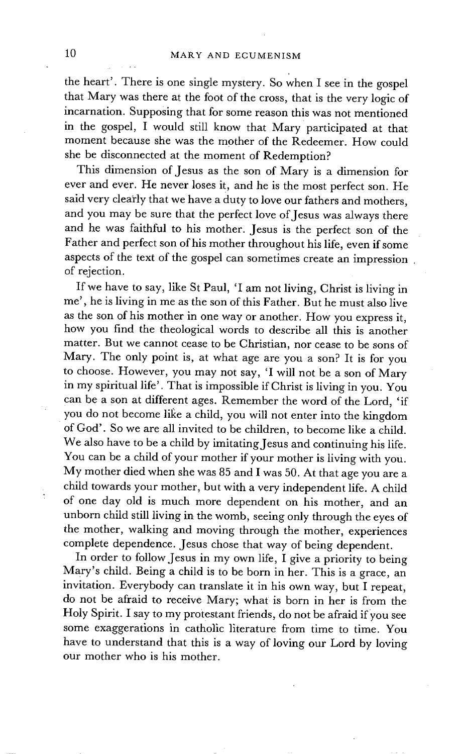the heart'. There is one single mystery. So when I see in the gospel that Mary was there at the foot of the cross, that is the very logic of incarnation. Supposing that for some reason this was not mentioned in the gospel, I would still know that Mary participated at that moment because she was the mother of the Redeemer. How could she be disconnected at the moment of Redemption?

This dimension of Jesus as the son of Mary is a dimension for ever and ever. He never loses it, and he is the most perfect son. He said very clearly that we have a duty to love our fathers and mothers. and you may be sure that the perfect love of Jesus was always there and he was faithful to his mother. Jesus is the perfect son of the Father and perfect son of his mother throughout his life, even if some aspects of the text of the gospel can sometimes create an impression of rejection.

If we have to say, like St Paul, 'I am not living, Christ is living in me', he is living in me as the son of this Father. But he must also live as the son of his mother in one way or another. How you express it, how you find the theological words to describe all this is another matter. But we cannot cease to be Christian, nor cease to be sons of Mary. The only point is, at what age are you a son? It is for you to choose. However, you may not say, 'I will not be a son of Mary in my spiritual life'. That is impossible if Christ is living in you. You can be a son at different ages. Remember the word of the Lord, 'if you do not become like a child, you will not enter into the kingdom of God'. So we are all invited to be children, to become like a child. We also have to be a child by imitating Jesus and continuing his life. You can be a child of your mother if your mother is living with you. My mother died when she was 85 and I was 50. At that age you are a child towards your mother, but with a very independent life. A child of one day old is much more dependent on his mother, and an unborn child still living in the womb, seeing only through the eyes of the mother, walking and moving through the mother, experiences complete dependence. Jesus chose that way of being dependent.

In order to follow Jesus in my own life, I give a priority to being Mary's child. Being a child is to be born in her. This is a grace, an invitation. Everybody can translate it in his own way, but I repeat, do not be afraid to receive Mary; what is born in her is from the Holy Spirit. I say to my protestant friends, do not be afraid if you see some exaggerations in catholic literature from time to time. You have to understand that this is a way of loving our Lord by loving our mother who is his mother.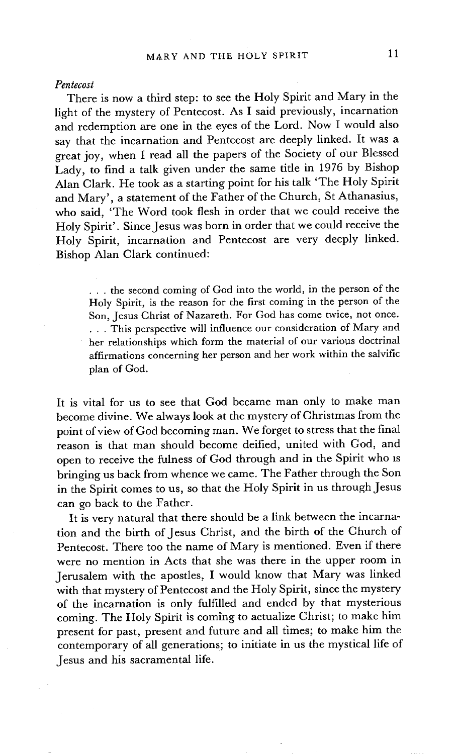#### *Pentecost*

There is now a third step: to see the Holy Spirit and Mary in the light of the mystery of Pentecost. As I said previously, incarnation and redemption are one in the eyes of the Lord. Now I would also say that the incarnation and Pentecost are deeply linked. It was a great joy, when I read all the papers of the Society of our Blessed Lady, to find a talk given under the same title in 1976 by Bishop Alan Clark. He took as a starting point for his talk 'The Holy Spirit and Mary', a statement of the Father of the Church, St Athanasius, who said. 'The Word took flesh in order that we could receive the Holy Spirit'. Since Jesus was born in order that we could receive the Holy Spirit, incarnation and Pentecost are very deeply linked. Bishop Alan Clark continued:

> **• . .** the second coming of God into the world, in the person of the Holy Spirit, is the reason for the first coming in the person of the Son, Jesus Christ of Nazareth. For God has come twice, not once. ... This perspective will influence our consideration of Mary and her relationships which form the material of our various doctrinal affirmations concerning her person and her work within the salvific plan of God.

It is vital for us to see that God became man only to make man become divine. We always look at the mystery of Christmas from the point of view of God becoming man. We forget to stress that the final reason is that man should become deified, united with God, and open to receive the fulness of God through and in the Spirit who is bringing us back from whence we came. The Father through the Son in the Spirit comes to us, so that the Holy Spirit in us through Jesus can go back to the Father.

It is very natural that there should be a link between the incarnation and the birth of Jesus Christ, and the birth of the Church of Pentecost. There too the name of Mary is mentioned. Even if there were no mention in Acts that she was there in the upper room in Jerusalem with the apostles, I would know that Mary was linked with that mystery of Pentecost and the Holy Spirit, since the mystery of the incarnation is only fulfilled and ended by that mysterious coming• The Holy Spirit is coming to actualize Christ; to make him present for past, present and future and all times; to make him the contemporary of all generations; to initiate in us the mystical life of Jesus and his sacramental life.